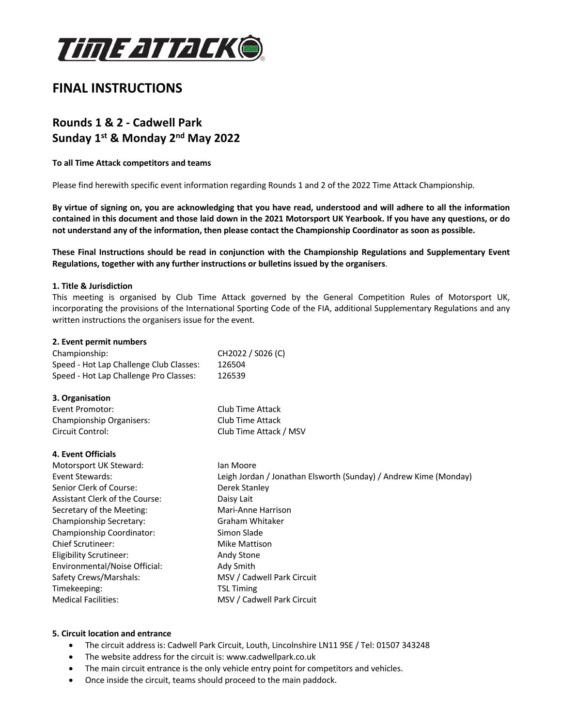

# **FINAL INSTRUCTIONS**

# **Rounds 1 & 2 - Cadwell Park Sunday 1st & Monday 2nd May 2022**

## **To all Time Attack competitors and teams**

Please find herewith specific event information regarding Rounds 1 and 2 of the 2022 Time Attack Championship.

**By virtue of signing on, you are acknowledging that you have read, understood and will adhere to all the information contained in this document and those laid down in the 2021 Motorsport UK Yearbook. If you have any questions, or do not understand any of the information, then please contact the Championship Coordinator as soon as possible.** 

**These Final Instructions should be read in conjunction with the Championship Regulations and Supplementary Event Regulations, together with any further instructions or bulletins issued by the organisers**.

## **1. Title & Jurisdiction**

This meeting is organised by Club Time Attack governed by the General Competition Rules of Motorsport UK, incorporating the provisions of the International Sporting Code of the FIA, additional Supplementary Regulations and any written instructions the organisers issue for the event.

## **2. Event permit numbers**

| Championship:                           | CH2022 / S026 (C) |
|-----------------------------------------|-------------------|
| Speed - Hot Lap Challenge Club Classes: | 126504            |
| Speed - Hot Lap Challenge Pro Classes:  | 126539            |

## **3. Organisation**

| Event Promotor:          | Club Time Attack       |
|--------------------------|------------------------|
| Championship Organisers: | Club Time Attack       |
| Circuit Control:         | Club Time Attack / MSV |

## **4. Event Officials**

| Motorsport UK Steward:                | lan Moore                                                        |
|---------------------------------------|------------------------------------------------------------------|
| Event Stewards:                       | Leigh Jordan / Jonathan Elsworth (Sunday) / Andrew Kime (Monday) |
| Senior Clerk of Course:               | Derek Stanley                                                    |
| <b>Assistant Clerk of the Course:</b> | Daisy Lait                                                       |
| Secretary of the Meeting:             | Mari-Anne Harrison                                               |
| Championship Secretary:               | Graham Whitaker                                                  |
| Championship Coordinator:             | Simon Slade                                                      |
| <b>Chief Scrutineer:</b>              | Mike Mattison                                                    |
| Eligibility Scrutineer:               | Andy Stone                                                       |
| Environmental/Noise Official:         | Ady Smith                                                        |
| Safety Crews/Marshals:                | MSV / Cadwell Park Circuit                                       |
| Timekeeping:                          | <b>TSL Timing</b>                                                |
| <b>Medical Facilities:</b>            | MSV / Cadwell Park Circuit                                       |

## **5. Circuit location and entrance**

- The circuit address is: Cadwell Park Circuit, Louth, Lincolnshire LN11 9SE / Tel: 01507 343248
- The website address for the circuit is: www.cadwellpark.co.uk
- The main circuit entrance is the only vehicle entry point for competitors and vehicles.
- Once inside the circuit, teams should proceed to the main paddock.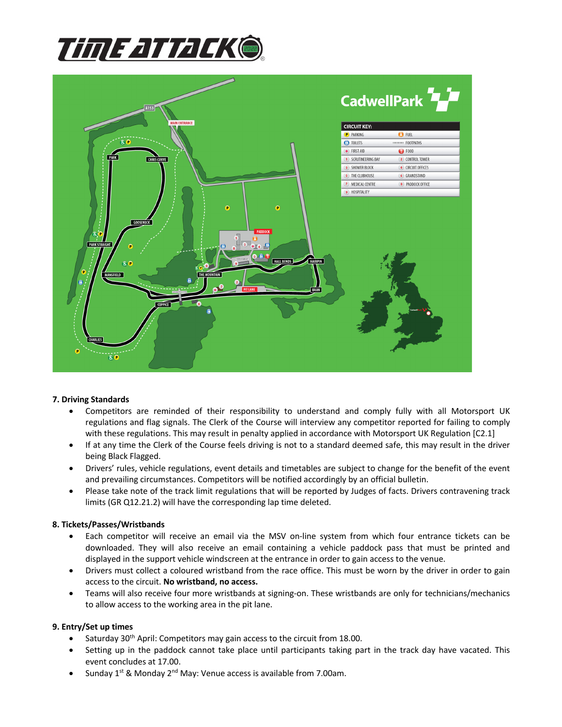



## **7. Driving Standards**

- Competitors are reminded of their responsibility to understand and comply fully with all Motorsport UK regulations and flag signals. The Clerk of the Course will interview any competitor reported for failing to comply with these regulations. This may result in penalty applied in accordance with Motorsport UK Regulation [C2.1]
- If at any time the Clerk of the Course feels driving is not to a standard deemed safe, this may result in the driver being Black Flagged.
- Drivers' rules, vehicle regulations, event details and timetables are subject to change for the benefit of the event and prevailing circumstances. Competitors will be notified accordingly by an official bulletin.
- Please take note of the track limit regulations that will be reported by Judges of facts. Drivers contravening track limits (GR Q12.21.2) will have the corresponding lap time deleted.

## **8. Tickets/Passes/Wristbands**

- Each competitor will receive an email via the MSV on-line system from which four entrance tickets can be downloaded. They will also receive an email containing a vehicle paddock pass that must be printed and displayed in the support vehicle windscreen at the entrance in order to gain access to the venue.
- Drivers must collect a coloured wristband from the race office. This must be worn by the driver in order to gain access to the circuit. **No wristband, no access.**
- Teams will also receive four more wristbands at signing-on. These wristbands are only for technicians/mechanics to allow access to the working area in the pit lane.

## **9. Entry/Set up times**

- Saturday 30<sup>th</sup> April: Competitors may gain access to the circuit from 18.00.
- Setting up in the paddock cannot take place until participants taking part in the track day have vacated. This event concludes at 17.00.
- Sunday  $1^{st}$  & Monday  $2^{nd}$  May: Venue access is available from 7.00am.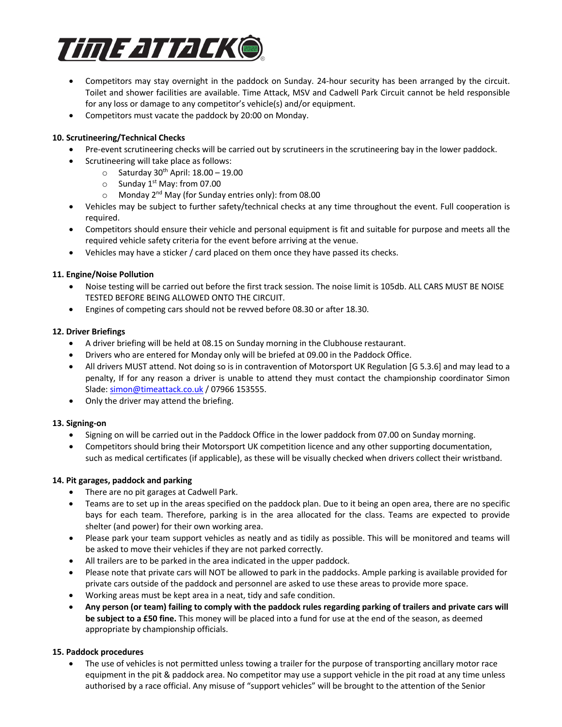

- Competitors may stay overnight in the paddock on Sunday. 24-hour security has been arranged by the circuit. Toilet and shower facilities are available. Time Attack, MSV and Cadwell Park Circuit cannot be held responsible for any loss or damage to any competitor's vehicle(s) and/or equipment.
- Competitors must vacate the paddock by 20:00 on Monday.

# **10. Scrutineering/Technical Checks**

- Pre-event scrutineering checks will be carried out by scrutineers in the scrutineering bay in the lower paddock.
- Scrutineering will take place as follows:
	- $\circ$  Saturday 30<sup>th</sup> April: 18.00 19.00
	- $\circ$  Sunday 1<sup>st</sup> May: from 07.00
	- $\circ$  Monday 2<sup>nd</sup> May (for Sunday entries only): from 08.00
- Vehicles may be subject to further safety/technical checks at any time throughout the event. Full cooperation is required.
- Competitors should ensure their vehicle and personal equipment is fit and suitable for purpose and meets all the required vehicle safety criteria for the event before arriving at the venue.
- Vehicles may have a sticker / card placed on them once they have passed its checks.

# **11. Engine/Noise Pollution**

- Noise testing will be carried out before the first track session. The noise limit is 105db. ALL CARS MUST BE NOISE TESTED BEFORE BEING ALLOWED ONTO THE CIRCUIT.
- Engines of competing cars should not be revved before 08.30 or after 18.30.

# **12. Driver Briefings**

- A driver briefing will be held at 08.15 on Sunday morning in the Clubhouse restaurant.
- Drivers who are entered for Monday only will be briefed at 09.00 in the Paddock Office.
- All drivers MUST attend. Not doing so is in contravention of Motorsport UK Regulation [G 5.3.6] and may lead to a penalty, If for any reason a driver is unable to attend they must contact the championship coordinator Simon Slade: simon@timeattack.co.uk / 07966 153555.
- Only the driver may attend the briefing.

# **13. Signing-on**

- Signing on will be carried out in the Paddock Office in the lower paddock from 07.00 on Sunday morning.
- Competitors should bring their Motorsport UK competition licence and any other supporting documentation, such as medical certificates (if applicable), as these will be visually checked when drivers collect their wristband.

# **14. Pit garages, paddock and parking**

- There are no pit garages at Cadwell Park.
- Teams are to set up in the areas specified on the paddock plan. Due to it being an open area, there are no specific bays for each team. Therefore, parking is in the area allocated for the class. Teams are expected to provide shelter (and power) for their own working area.
- Please park your team support vehicles as neatly and as tidily as possible. This will be monitored and teams will be asked to move their vehicles if they are not parked correctly.
- All trailers are to be parked in the area indicated in the upper paddock.
- Please note that private cars will NOT be allowed to park in the paddocks. Ample parking is available provided for private cars outside of the paddock and personnel are asked to use these areas to provide more space.
- Working areas must be kept area in a neat, tidy and safe condition.
- **Any person (or team) failing to comply with the paddock rules regarding parking of trailers and private cars will be subject to a £50 fine.** This money will be placed into a fund for use at the end of the season, as deemed appropriate by championship officials.

# **15. Paddock procedures**

• The use of vehicles is not permitted unless towing a trailer for the purpose of transporting ancillary motor race equipment in the pit & paddock area. No competitor may use a support vehicle in the pit road at any time unless authorised by a race official. Any misuse of "support vehicles" will be brought to the attention of the Senior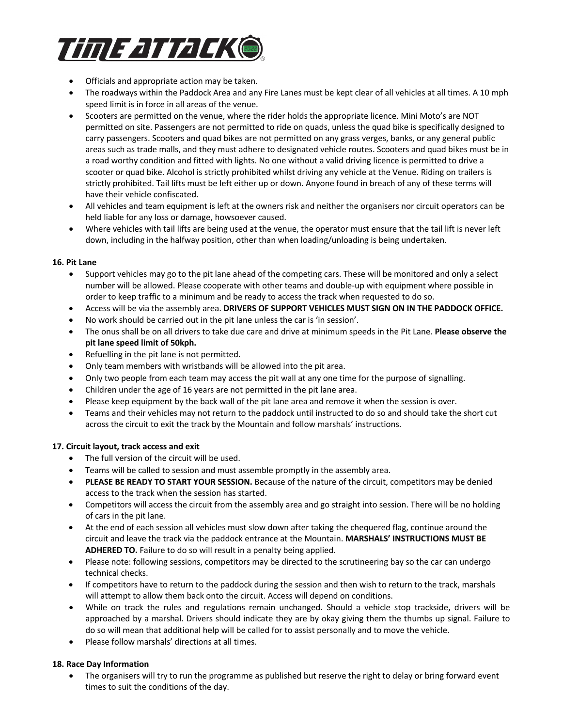

- Officials and appropriate action may be taken.
- The roadways within the Paddock Area and any Fire Lanes must be kept clear of all vehicles at all times. A 10 mph speed limit is in force in all areas of the venue.
- Scooters are permitted on the venue, where the rider holds the appropriate licence. Mini Moto's are NOT permitted on site. Passengers are not permitted to ride on quads, unless the quad bike is specifically designed to carry passengers. Scooters and quad bikes are not permitted on any grass verges, banks, or any general public areas such as trade malls, and they must adhere to designated vehicle routes. Scooters and quad bikes must be in a road worthy condition and fitted with lights. No one without a valid driving licence is permitted to drive a scooter or quad bike. Alcohol is strictly prohibited whilst driving any vehicle at the Venue. Riding on trailers is strictly prohibited. Tail lifts must be left either up or down. Anyone found in breach of any of these terms will have their vehicle confiscated.
- All vehicles and team equipment is left at the owners risk and neither the organisers nor circuit operators can be held liable for any loss or damage, howsoever caused.
- Where vehicles with tail lifts are being used at the venue, the operator must ensure that the tail lift is never left down, including in the halfway position, other than when loading/unloading is being undertaken.

## **16. Pit Lane**

- Support vehicles may go to the pit lane ahead of the competing cars. These will be monitored and only a select number will be allowed. Please cooperate with other teams and double-up with equipment where possible in order to keep traffic to a minimum and be ready to access the track when requested to do so.
- Access will be via the assembly area. **DRIVERS OF SUPPORT VEHICLES MUST SIGN ON IN THE PADDOCK OFFICE.**
- No work should be carried out in the pit lane unless the car is 'in session'.
- The onus shall be on all drivers to take due care and drive at minimum speeds in the Pit Lane. **Please observe the pit lane speed limit of 50kph.**
- Refuelling in the pit lane is not permitted.
- Only team members with wristbands will be allowed into the pit area.
- Only two people from each team may access the pit wall at any one time for the purpose of signalling.
- Children under the age of 16 years are not permitted in the pit lane area.
- Please keep equipment by the back wall of the pit lane area and remove it when the session is over.
- Teams and their vehicles may not return to the paddock until instructed to do so and should take the short cut across the circuit to exit the track by the Mountain and follow marshals' instructions.

# **17. Circuit layout, track access and exit**

- The full version of the circuit will be used.
- Teams will be called to session and must assemble promptly in the assembly area.
- **PLEASE BE READY TO START YOUR SESSION.** Because of the nature of the circuit, competitors may be denied access to the track when the session has started.
- Competitors will access the circuit from the assembly area and go straight into session. There will be no holding of cars in the pit lane.
- At the end of each session all vehicles must slow down after taking the chequered flag, continue around the circuit and leave the track via the paddock entrance at the Mountain. **MARSHALS' INSTRUCTIONS MUST BE ADHERED TO.** Failure to do so will result in a penalty being applied.
- Please note: following sessions, competitors may be directed to the scrutineering bay so the car can undergo technical checks.
- If competitors have to return to the paddock during the session and then wish to return to the track, marshals will attempt to allow them back onto the circuit. Access will depend on conditions.
- While on track the rules and regulations remain unchanged. Should a vehicle stop trackside, drivers will be approached by a marshal. Drivers should indicate they are by okay giving them the thumbs up signal. Failure to do so will mean that additional help will be called for to assist personally and to move the vehicle.
- Please follow marshals' directions at all times.

# **18. Race Day Information**

• The organisers will try to run the programme as published but reserve the right to delay or bring forward event times to suit the conditions of the day.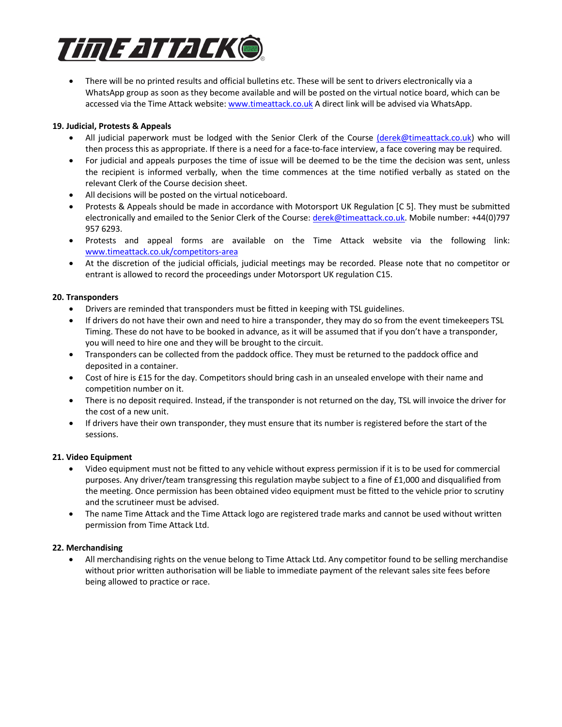

• There will be no printed results and official bulletins etc. These will be sent to drivers electronically via a WhatsApp group as soon as they become available and will be posted on the virtual notice board, which can be accessed via the Time Attack website: www.timeattack.co.uk A direct link will be advised via WhatsApp.

# **19. Judicial, Protests & Appeals**

- All judicial paperwork must be lodged with the Senior Clerk of the Course (derek@timeattack.co.uk) who will then process this as appropriate. If there is a need for a face-to-face interview, a face covering may be required.
- For judicial and appeals purposes the time of issue will be deemed to be the time the decision was sent, unless the recipient is informed verbally, when the time commences at the time notified verbally as stated on the relevant Clerk of the Course decision sheet.
- All decisions will be posted on the virtual noticeboard.
- Protests & Appeals should be made in accordance with Motorsport UK Regulation [C 5]. They must be submitted electronically and emailed to the Senior Clerk of the Course: derek@timeattack.co.uk. Mobile number: +44(0)797 957 6293.
- Protests and appeal forms are available on the Time Attack website via the following link: www.timeattack.co.uk/competitors-area
- At the discretion of the judicial officials, judicial meetings may be recorded. Please note that no competitor or entrant is allowed to record the proceedings under Motorsport UK regulation C15.

# **20. Transponders**

- Drivers are reminded that transponders must be fitted in keeping with TSL guidelines.
- If drivers do not have their own and need to hire a transponder, they may do so from the event timekeepers TSL Timing. These do not have to be booked in advance, as it will be assumed that if you don't have a transponder, you will need to hire one and they will be brought to the circuit.
- Transponders can be collected from the paddock office. They must be returned to the paddock office and deposited in a container.
- Cost of hire is £15 for the day. Competitors should bring cash in an unsealed envelope with their name and competition number on it.
- There is no deposit required. Instead, if the transponder is not returned on the day, TSL will invoice the driver for the cost of a new unit.
- If drivers have their own transponder, they must ensure that its number is registered before the start of the sessions.

# **21. Video Equipment**

- Video equipment must not be fitted to any vehicle without express permission if it is to be used for commercial purposes. Any driver/team transgressing this regulation maybe subject to a fine of £1,000 and disqualified from the meeting. Once permission has been obtained video equipment must be fitted to the vehicle prior to scrutiny and the scrutineer must be advised.
- The name Time Attack and the Time Attack logo are registered trade marks and cannot be used without written permission from Time Attack Ltd.

# **22. Merchandising**

• All merchandising rights on the venue belong to Time Attack Ltd. Any competitor found to be selling merchandise without prior written authorisation will be liable to immediate payment of the relevant sales site fees before being allowed to practice or race.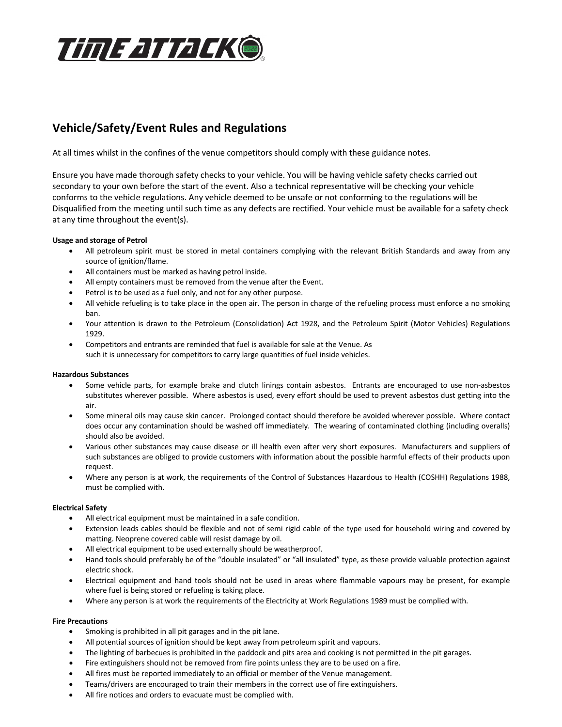

# **Vehicle/Safety/Event Rules and Regulations**

At all times whilst in the confines of the venue competitors should comply with these guidance notes.

Ensure you have made thorough safety checks to your vehicle. You will be having vehicle safety checks carried out secondary to your own before the start of the event. Also a technical representative will be checking your vehicle conforms to the vehicle regulations. Any vehicle deemed to be unsafe or not conforming to the regulations will be Disqualified from the meeting until such time as any defects are rectified. Your vehicle must be available for a safety check at any time throughout the event(s).

## **Usage and storage of Petrol**

- All petroleum spirit must be stored in metal containers complying with the relevant British Standards and away from any source of ignition/flame.
- All containers must be marked as having petrol inside.
- All empty containers must be removed from the venue after the Event.
- Petrol is to be used as a fuel only, and not for any other purpose.
- All vehicle refueling is to take place in the open air. The person in charge of the refueling process must enforce a no smoking ban.
- Your attention is drawn to the Petroleum (Consolidation) Act 1928, and the Petroleum Spirit (Motor Vehicles) Regulations 1929.
- Competitors and entrants are reminded that fuel is available for sale at the Venue. As such it is unnecessary for competitors to carry large quantities of fuel inside vehicles.

#### **Hazardous Substances**

- Some vehicle parts, for example brake and clutch linings contain asbestos. Entrants are encouraged to use non-asbestos substitutes wherever possible. Where asbestos is used, every effort should be used to prevent asbestos dust getting into the air.
- Some mineral oils may cause skin cancer. Prolonged contact should therefore be avoided wherever possible. Where contact does occur any contamination should be washed off immediately. The wearing of contaminated clothing (including overalls) should also be avoided.
- Various other substances may cause disease or ill health even after very short exposures. Manufacturers and suppliers of such substances are obliged to provide customers with information about the possible harmful effects of their products upon request.
- Where any person is at work, the requirements of the Control of Substances Hazardous to Health (COSHH) Regulations 1988, must be complied with.

#### **Electrical Safety**

- All electrical equipment must be maintained in a safe condition.
- Extension leads cables should be flexible and not of semi rigid cable of the type used for household wiring and covered by matting. Neoprene covered cable will resist damage by oil.
- All electrical equipment to be used externally should be weatherproof.
- Hand tools should preferably be of the "double insulated" or "all insulated" type, as these provide valuable protection against electric shock.
- Electrical equipment and hand tools should not be used in areas where flammable vapours may be present, for example where fuel is being stored or refueling is taking place.
- Where any person is at work the requirements of the Electricity at Work Regulations 1989 must be complied with.

#### **Fire Precautions**

- Smoking is prohibited in all pit garages and in the pit lane.
- All potential sources of ignition should be kept away from petroleum spirit and vapours.
- The lighting of barbecues is prohibited in the paddock and pits area and cooking is not permitted in the pit garages.
- Fire extinguishers should not be removed from fire points unless they are to be used on a fire.
- All fires must be reported immediately to an official or member of the Venue management.
- Teams/drivers are encouraged to train their members in the correct use of fire extinguishers.
- All fire notices and orders to evacuate must be complied with.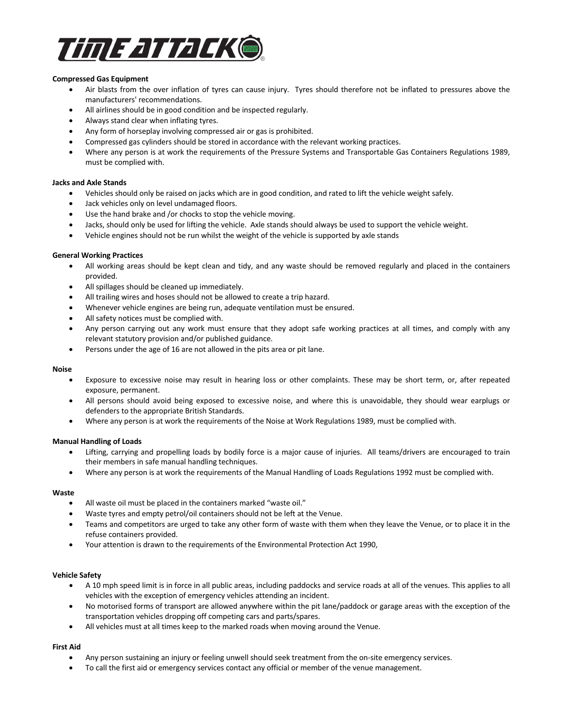

### **Compressed Gas Equipment**

- Air blasts from the over inflation of tyres can cause injury. Tyres should therefore not be inflated to pressures above the manufacturers' recommendations.
- All airlines should be in good condition and be inspected regularly.
- Always stand clear when inflating tyres.
- Any form of horseplay involving compressed air or gas is prohibited.
- Compressed gas cylinders should be stored in accordance with the relevant working practices.
- Where any person is at work the requirements of the Pressure Systems and Transportable Gas Containers Regulations 1989, must be complied with.

#### **Jacks and Axle Stands**

- Vehicles should only be raised on jacks which are in good condition, and rated to lift the vehicle weight safely.
- Jack vehicles only on level undamaged floors.
- Use the hand brake and /or chocks to stop the vehicle moving.
- Jacks, should only be used for lifting the vehicle. Axle stands should always be used to support the vehicle weight.
- Vehicle engines should not be run whilst the weight of the vehicle is supported by axle stands

#### **General Working Practices**

- All working areas should be kept clean and tidy, and any waste should be removed regularly and placed in the containers provided.
- All spillages should be cleaned up immediately.
- All trailing wires and hoses should not be allowed to create a trip hazard.
- Whenever vehicle engines are being run, adequate ventilation must be ensured.
- All safety notices must be complied with.
- Any person carrying out any work must ensure that they adopt safe working practices at all times, and comply with any relevant statutory provision and/or published guidance.
- Persons under the age of 16 are not allowed in the pits area or pit lane.

#### **Noise**

- Exposure to excessive noise may result in hearing loss or other complaints. These may be short term, or, after repeated exposure, permanent.
- All persons should avoid being exposed to excessive noise, and where this is unavoidable, they should wear earplugs or defenders to the appropriate British Standards.
- Where any person is at work the requirements of the Noise at Work Regulations 1989, must be complied with.

#### **Manual Handling of Loads**

- Lifting, carrying and propelling loads by bodily force is a major cause of injuries. All teams/drivers are encouraged to train their members in safe manual handling techniques.
- Where any person is at work the requirements of the Manual Handling of Loads Regulations 1992 must be complied with.

#### **Waste**

- All waste oil must be placed in the containers marked "waste oil."
- Waste tyres and empty petrol/oil containers should not be left at the Venue.
- Teams and competitors are urged to take any other form of waste with them when they leave the Venue, or to place it in the refuse containers provided.
- Your attention is drawn to the requirements of the Environmental Protection Act 1990,

#### **Vehicle Safety**

- A 10 mph speed limit is in force in all public areas, including paddocks and service roads at all of the venues. This applies to all vehicles with the exception of emergency vehicles attending an incident.
- No motorised forms of transport are allowed anywhere within the pit lane/paddock or garage areas with the exception of the transportation vehicles dropping off competing cars and parts/spares.
- All vehicles must at all times keep to the marked roads when moving around the Venue.

#### **First Aid**

- Any person sustaining an injury or feeling unwell should seek treatment from the on-site emergency services.
- To call the first aid or emergency services contact any official or member of the venue management.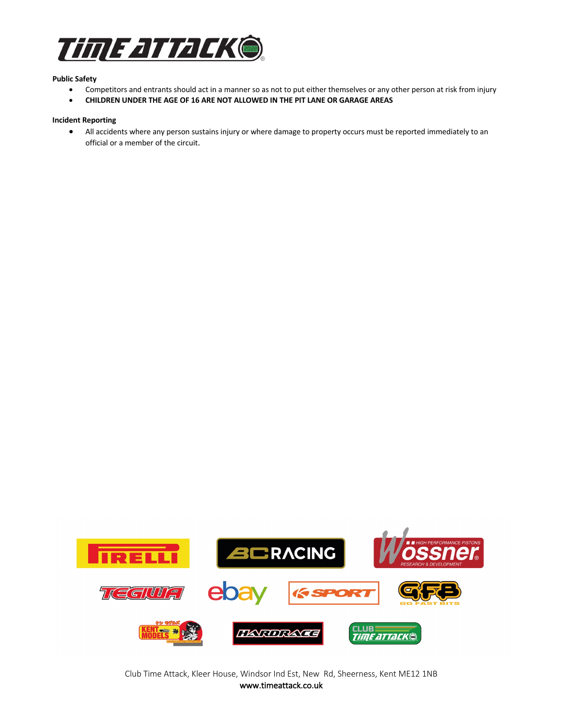

#### **Public Safety**

- Competitors and entrants should act in a manner so as not to put either themselves or any other person at risk from injury
- **CHILDREN UNDER THE AGE OF 16 ARE NOT ALLOWED IN THE PIT LANE OR GARAGE AREAS**

### **Incident Reporting**

• All accidents where any person sustains injury or where damage to property occurs must be reported immediately to an official or a member of the circuit.



Club Time Attack, Kleer House, Windsor Ind Est, New Rd, Sheerness, Kent ME12 1NB www.timeattack.co.uk